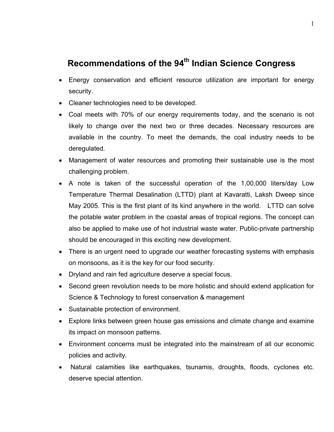## Recommendations of the 94<sup>th</sup> Indian Science Congress

- Energy conservation and efficient resource utilization are important for energy security.
- Cleaner technologies need to be developed.
- Coal meets with 70% of our energy requirements today, and the scenario is not likely to change over the next two or three decades. Necessary resources are available in the country. To meet the demands, the coal industry needs to be deregulated.
- Management of water resources and promoting their sustainable use is the most challenging problem.
- A note is taken of the successful operation of the 1,00,000 liters/day Low Temperature Thermal Desalination (LTTD) plant at Kavaratti, Laksh Dweep since May 2005. This is the first plant of its kind anywhere in the world. LTTD can solve the potable water problem in the coastal areas of tropical regions. The concept can also be applied to make use of hot industrial waste water. Public-private partnership should be encouraged in this exciting new development.
- There is an urgent need to upgrade our weather forecasting systems with emphasis on monsoons, as it is the key for our food security.
- Dryland and rain fed agriculture deserve a special focus.
- Second green revolution needs to be more holistic and should extend application for Science & Technology to forest conservation & management
- Sustainable protection of environment.
- Explore links between green house gas emissions and climate change and examine its impact on monsoon patterns.
- Environment concerns must be integrated into the mainstream of all our economic policies and activity.
- Natural calamities like earthquakes, tsunamis, droughts, floods, cyclones etc. deserve special attention.